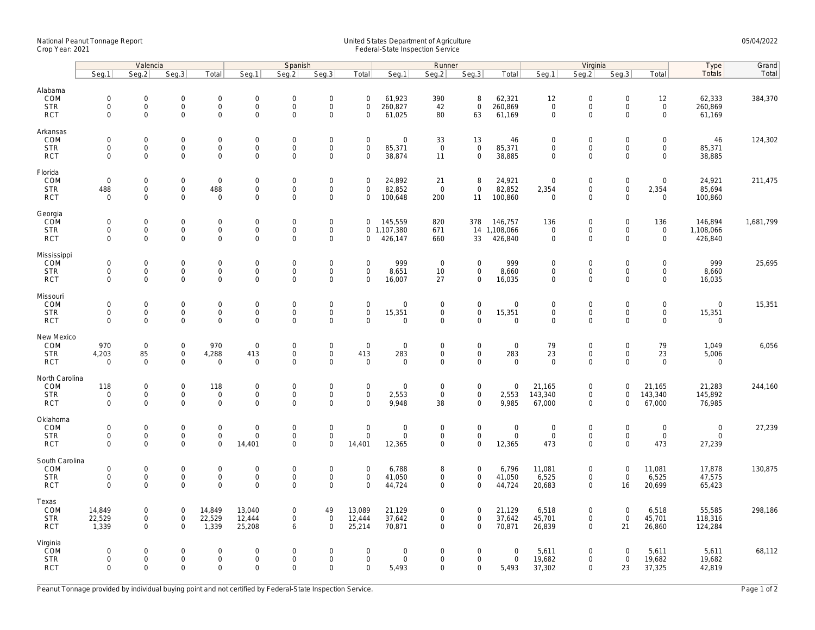## National Peanut Tonnage Report United States Department of Agriculture 05/04/2022 Crop Year: 2021 Federal-State Inspection Service

|                                                    | Valencia                                                  |                                  |                                                       |                                                   | Spanish                                         |                                                |                                                                   |                                                           |                                   | Runner                                            |                                                    |                                           |                                           | Virginia                                            | Type                                                      | Grand                                     |                                           |           |
|----------------------------------------------------|-----------------------------------------------------------|----------------------------------|-------------------------------------------------------|---------------------------------------------------|-------------------------------------------------|------------------------------------------------|-------------------------------------------------------------------|-----------------------------------------------------------|-----------------------------------|---------------------------------------------------|----------------------------------------------------|-------------------------------------------|-------------------------------------------|-----------------------------------------------------|-----------------------------------------------------------|-------------------------------------------|-------------------------------------------|-----------|
|                                                    | Seg.1                                                     | Seg.2                            | Seq.3                                                 | Total                                             | Seg.1                                           | Seg.2                                          | Seq.3                                                             | Total                                                     | Seg.1                             | Seg.2                                             | Seq.3                                              | Total                                     | Seq.1                                     | Seg.2                                               | Seq.3                                                     | Total                                     | <b>Totals</b>                             | Total     |
| Alabama<br>COM<br><b>STR</b><br><b>RCT</b>         | $\mathsf{O}\xspace$<br>0<br>$\mathbf 0$                   | 0<br>$\mathsf{O}\xspace$<br>0    | $\mathbf 0$<br>$\mathsf{O}$<br>$\mathbf 0$            | $\mathbf 0$<br>$\mathbf 0$<br>$\mathbf{0}$        | $\mathbf 0$<br>$\boldsymbol{0}$<br>$\mathbf{0}$ | $\mathbf 0$<br>$\Omega$<br>$\mathbf 0$         | $\mathbf 0$<br>$\mathsf{O}\xspace$<br>$\mathbf 0$                 | $\mathbf 0$<br>$\mathbf 0$<br>$\mathbf 0$                 | 61,923<br>260,827<br>61,025       | 390<br>42<br>80                                   | 8<br>$\mathbf 0$<br>63                             | 62,321<br>260,869<br>61,169               | 12<br>$\mathbf 0$<br>$\mathbf 0$          | $\mathbf 0$<br>$\mathsf{O}\xspace$<br>$\mathbf 0$   | $\mathbf 0$<br>$\mathbf 0$<br>$\mathbf 0$                 | 12<br>$\mathsf{O}$<br>$\mathbf 0$         | 62,333<br>260,869<br>61,169               | 384,370   |
| Arkansas<br>COM<br><b>STR</b><br><b>RCT</b>        | $\mathbf 0$<br>$\mathbf 0$<br>$\mathbf 0$                 | 0<br>$\mathbf 0$<br>0            | $\overline{0}$<br>$\mathsf{O}$<br>$\mathsf{O}\xspace$ | $\mathbf 0$<br>$\mathbf 0$<br>$\mathsf 0$         | $\mathbf 0$<br>$\mathbf 0$<br>$\mathbf{0}$      | $\mathbf 0$<br>$\Omega$<br>$\Omega$            | $\mathsf{O}\xspace$<br>$\mathsf{O}\xspace$<br>$\mathsf{O}\xspace$ | $\mathbf 0$<br>$\mathsf{O}\xspace$<br>$\mathbf 0$         | 0<br>85,371<br>38,874             | 33<br>$\mathsf 0$<br>11                           | 13<br>$\mathsf{O}\xspace$<br>$\mathbf 0$           | 46<br>85,371<br>38,885                    | $\mathbf 0$<br>$\Omega$<br>$\mathbf 0$    | $\mathbf 0$<br>$\mathsf{O}\xspace$<br>$\mathbf 0$   | $\mathbf 0$<br>$\mathsf{O}\xspace$<br>$\mathbf 0$         | 0<br>0<br>$\mathbf 0$                     | 46<br>85,371<br>38,885                    | 124,302   |
| Florida<br>COM<br><b>STR</b><br><b>RCT</b>         | $\mathsf{O}\xspace$<br>488<br>$\mathsf{O}\xspace$         | $\mathbf{0}$<br>0<br>0           | $\mathbf 0$<br>$\mathsf{O}$<br>$\mathsf 0$            | $\mathbf 0$<br>488<br>$\mathbf 0$                 | $\mathbf 0$<br>$\mathbf 0$<br>$\mathbf 0$       | $\mathbf 0$<br>$\mathbf 0$<br>$\Omega$         | $\mathbf 0$<br>$\mathsf{O}\xspace$<br>$\mathbf 0$                 | $\mathbf 0$<br>$\mathbf 0$<br>$\mathsf{O}\xspace$         | 24,892<br>82,852<br>100,648       | 21<br>$\mathsf 0$<br>200                          | 8<br>$\mathbf 0$<br>11                             | 24,921<br>82,852<br>100,860               | $\mathbf 0$<br>2,354<br>$\mathbf{0}$      | $\mathbf 0$<br>$\mathsf{O}\xspace$<br>$\mathbf 0$   | $\mathsf{O}\xspace$<br>$\mathsf{O}\xspace$<br>$\mathbf 0$ | 0<br>2,354<br>0                           | 24,921<br>85,694<br>100,860               | 211,475   |
| Georgia<br>COM<br><b>STR</b><br><b>RCT</b>         | $\mathsf{O}\xspace$<br>$\mathbf 0$<br>$\mathbf{0}$        | 0<br>0<br>$\mathbf{0}$           | $\mathbf 0$<br>$\mathbf 0$<br>$\mathsf{O}$            | $\mathsf 0$<br>$\mathbf 0$<br>$\mathbf 0$         | $\mathbf 0$<br>$\mathbf 0$<br>$\mathbf 0$       | $\mathbf 0$<br>$\mathbf 0$<br>$\mathbf 0$      | $\mathsf{O}\xspace$<br>$\mathsf{O}\xspace$<br>$\mathbf 0$         | $\mathbf 0$<br>$\mathbf 0$                                | 145,559<br>0 1,107,380<br>426,147 | 820<br>671<br>660                                 | 378<br>33                                          | 146,757<br>14 1,108,066<br>426,840        | 136<br>$\mathbf 0$<br>$\mathbf{0}$        | $\mathbf 0$<br>$\mathbf 0$<br>$\mathbf 0$           | $\mathsf{O}\xspace$<br>$\mathbf 0$<br>$\mathbf 0$         | 136<br>$\mathbf 0$<br>$\mathsf{O}\xspace$ | 146,894<br>1,108,066<br>426,840           | 1,681,799 |
| Mississippi<br>COM<br><b>STR</b><br><b>RCT</b>     | $\mathsf{O}\xspace$<br>$\mathbf{0}$<br>$\mathbf 0$        | 0<br>$\overline{0}$<br>0         | $\mathbf 0$<br>$\mathsf{O}\xspace$<br>$\mathsf 0$     | $\mathbf 0$<br>$\mathsf{O}$<br>$\mathsf 0$        | $\mathbf 0$<br>$\mathbf 0$<br>$\mathbf 0$       | $\mathbf 0$<br>$\mathbf 0$<br>$\mathbf 0$      | $\mathsf{O}\xspace$<br>$\mathbf 0$<br>$\mathbf 0$                 | $\mathbf 0$<br>$\mathbf 0$<br>$\mathbf 0$                 | 999<br>8,651<br>16,007            | $\overline{0}$<br>$10$<br>27                      | $\mathbf 0$<br>$\mathsf{O}\xspace$<br>$\mathbf 0$  | 999<br>8,660<br>16,035                    | $\mathbf 0$<br>$\mathbf 0$<br>$\mathbf 0$ | $\boldsymbol{0}$<br>$\mathsf{O}\xspace$<br>$\Omega$ | $\mathbf 0$<br>$\mathbf 0$<br>$\mathbf 0$                 | $\mathbf 0$<br>$\mathsf{O}\xspace$<br>0   | 999<br>8,660<br>16,035                    | 25,695    |
| Missouri<br>COM<br><b>STR</b><br><b>RCT</b>        | $\mathsf{O}\xspace$<br>$\mathbf 0$<br>$\mathbf{0}$        | 0<br>0<br>0                      | $\mathbf 0$<br>$\mathsf{O}$<br>$\mathbf 0$            | $\mathbf 0$<br>$\mathsf 0$<br>$\mathsf 0$         | $\mathbf 0$<br>$\mathbf 0$<br>$\mathbf 0$       | $\mathbf 0$<br>$\mathbf 0$<br>$\mathbf 0$      | $\mathsf{O}\xspace$<br>$\mathsf{O}\xspace$<br>$\mathbf 0$         | $\mathsf{O}\xspace$<br>$\mathsf{O}\xspace$<br>$\mathbf 0$ | 0<br>15,351<br>0                  | $\mathbf 0$<br>$\mathsf 0$<br>$\mathsf{O}\xspace$ | $\mathsf 0$<br>$\mathbf 0$<br>$\mathsf 0$          | $\mathbf 0$<br>15,351<br>$\mathbf 0$      | $\mathbf 0$<br>$\mathbf 0$<br>$\mathbf 0$ | $\mathbf 0$<br>$\mathsf{O}\xspace$<br>$\mathbf 0$   | $\mathbf 0$<br>$\mathbf 0$<br>$\mathbf 0$                 | 0<br>$\mathsf{O}\xspace$<br>0             | $\mathbf 0$<br>15,351<br>$\mathbf 0$      | 15,351    |
| New Mexico<br>COM<br><b>STR</b><br><b>RCT</b>      | 970<br>4,203<br>$\Omega$                                  | $\mathbf 0$<br>85<br>$\mathbf 0$ | $\mathsf 0$<br>$\mathsf{O}\xspace$<br>$\mathbf 0$     | 970<br>4,288<br>$\mathbf 0$                       | $\mathbf 0$<br>413<br>$\mathbf 0$               | $\mathsf{O}\xspace$<br>$\mathbf 0$<br>$\Omega$ | $\mathsf{O}\xspace$<br>$\mathbf 0$<br>$\Omega$                    | $\mathsf{O}\xspace$<br>413<br>$\Omega$                    | 0<br>283<br>0                     | $\mathbf 0$<br>$\mathsf 0$<br>$\mathbf 0$         | $\mathsf 0$<br>$\mathbf 0$<br>$\mathbf{0}$         | $\mathbf 0$<br>283<br>$\mathbf 0$         | 79<br>23<br>$\Omega$                      | $\mathbf 0$<br>$\mathsf{O}\xspace$<br>$\Omega$      | $\mathsf{O}\xspace$<br>$\mathbf 0$<br>$\Omega$            | 79<br>23<br>$\mathbf 0$                   | 1,049<br>5,006<br>0                       | 6,056     |
| North Carolina<br>COM<br><b>STR</b><br><b>RCT</b>  | 118<br>$\mathsf{O}\xspace$<br>$\mathbf 0$                 | 0<br>0<br>0                      | $\mathbf 0$<br>$\mathsf{O}\xspace$<br>$\mathbf 0$     | 118<br>$\mathsf 0$<br>$\mathbf 0$                 | $\mathbf 0$<br>$\mathbf 0$<br>$\mathbf 0$       | $\mathbf 0$<br>$\mathbf 0$<br>$\Omega$         | $\mathsf{O}\xspace$<br>$\mathsf{O}\xspace$<br>$\mathbf 0$         | $\mathbf 0$<br>$\mathsf{O}\xspace$<br>$\Omega$            | 0<br>2,553<br>9,948               | $\mathbf 0$<br>$\mathbf 0$<br>38                  | $\mathbf 0$<br>$\mathbf 0$<br>$\mathbf 0$          | $\mathbf 0$<br>2,553<br>9,985             | 21,165<br>143,340<br>67,000               | $\mathbf 0$<br>$\mathsf{O}\xspace$<br>$\mathbf 0$   | $\mathbf 0$<br>$\mathbf 0$<br>$\mathbf 0$                 | 21,165<br>143,340<br>67,000               | 21,283<br>145,892<br>76,985               | 244,160   |
| Oklahoma<br>COM<br><b>STR</b><br><b>RCT</b>        | $\mathsf{O}\xspace$<br>$\mathsf{O}\xspace$<br>$\Omega$    | 0<br>0<br>$\overline{0}$         | $\mathbf 0$<br>$\mathsf{O}\xspace$<br>$\mathbf 0$     | $\mathbf 0$<br>$\mathbf 0$<br>$\mathbf 0$         | $\boldsymbol{0}$<br>$\mathbf 0$<br>14.401       | $\mathbf 0$<br>$\mathsf{O}\xspace$<br>$\Omega$ | $\mathsf{O}\xspace$<br>$\mathsf{O}\xspace$<br>$\Omega$            | $\mathsf{O}\xspace$<br>$\mathsf{O}\xspace$<br>14,401      | 0<br>0<br>12,365                  | $\boldsymbol{0}$<br>$\mathsf 0$<br>$\mathbf 0$    | $\mathsf{O}$<br>$\mathbf 0$<br>$\mathbf{0}$        | $\boldsymbol{0}$<br>$\mathbf 0$<br>12,365 | $\mathbf 0$<br>$\mathsf 0$<br>473         | $\boldsymbol{0}$<br>$\mathsf 0$<br>$\mathbf 0$      | $\Omega$<br>$\mathsf{O}\xspace$<br>$\Omega$               | $\mathbf 0$<br>$\mathbf 0$<br>473         | $\boldsymbol{0}$<br>$\mathsf 0$<br>27,239 | 27,239    |
| South Carolina<br>COM<br><b>STR</b><br><b>RCT</b>  | $\mathsf{O}\xspace$<br>$\mathsf{O}\xspace$<br>$\mathbf 0$ | 0<br>0<br>0                      | $\mathsf 0$<br>$\mathsf{O}$<br>$\mathbf 0$            | $\mathsf 0$<br>$\mathsf{O}\xspace$<br>$\mathbf 0$ | $\mathbf 0$<br>$\mathbf 0$<br>$\Omega$          | $\mathbf 0$<br>$\mathsf{O}\xspace$<br>$\Omega$ | $\mathsf{O}\xspace$<br>$\mathsf{O}\xspace$<br>$\Omega$            | $\mathsf{O}\xspace$<br>$\mathsf{O}\xspace$<br>$\Omega$    | 6,788<br>41,050<br>44,724         | 8<br>$\mathsf 0$<br>$\mathbf 0$                   | $\mathsf 0$<br>$\mathsf{O}\xspace$<br>$\mathbf 0$  | 6,796<br>41,050<br>44,724                 | 11,081<br>6,525<br>20,683                 | $\mathbf 0$<br>$\mathsf{O}\xspace$<br>$\Omega$      | $\mathsf{O}\xspace$<br>$\mathbf 0$<br>16                  | 11,081<br>6,525<br>20,699                 | 17,878<br>47,575<br>65,423                | 130,875   |
| Texas<br>COM<br><b>STR</b><br><b>RCT</b>           | 14,849<br>22,529<br>1,339                                 | 0<br>0<br>0                      | $\mathbf 0$<br>$\mathsf{O}$<br>$\mathbf 0$            | 14,849<br>22,529<br>1,339                         | 13,040<br>12,444<br>25,208                      | $\mathbf 0$<br>$\mathbf 0$<br>6                | 49<br>$\mathsf{O}\xspace$<br>$\mathbf 0$                          | 13,089<br>12,444<br>25,214                                | 21,129<br>37,642<br>70,871        | $\mathbf 0$<br>$\overline{0}$<br>$\mathbf 0$      | $\mathbf 0$<br>$\mathsf{O}\xspace$<br>$\mathbf{0}$ | 21,129<br>37,642<br>70,871                | 6,518<br>45,701<br>26,839                 | $\mathbf 0$<br>$\mathsf{O}\xspace$<br>$\Omega$      | $\mathbf 0$<br>$\overline{0}$<br>21                       | 6,518<br>45,701<br>26,860                 | 55,585<br>118,316<br>124,284              | 298,186   |
| Virginia<br><b>ČOM</b><br><b>STR</b><br><b>RCT</b> | 0<br>$\mathbf 0$<br>$\mathbf 0$                           | 0<br>0<br>0                      | $\overline{0}$<br>$\mathsf{O}$<br>$\mathbf 0$         | $\mathbf{0}$<br>$\mathsf{O}$<br>$\mathsf 0$       | $\mathbf 0$<br>$\boldsymbol{0}$<br>$\mathbf 0$  | $\Omega$<br>$\mathsf{O}\xspace$<br>$\mathbf 0$ | $\mathbf 0$<br>$\mathsf{O}\xspace$<br>$\mathbf 0$                 | $\mathbf 0$<br>$\mathsf{O}\xspace$<br>$\mathbf 0$         | 0<br>0<br>5,493                   | $\mathbf 0$<br>$\mathbf 0$<br>$\mathbf 0$         | $\mathbf{0}$<br>$\mathsf{O}\xspace$<br>$\mathbf 0$ | $\mathbf 0$<br>$\mathbf 0$<br>5,493       | 5,611<br>19,682<br>37,302                 | $\mathbf 0$<br>$\mathsf 0$<br>$\Omega$              | $\Omega$<br>$\mathsf{O}\xspace$<br>23                     | 5,611<br>19,682<br>37,325                 | 5,611<br>19,682<br>42,819                 | 68,112    |

Peanut Tonnage provided by individual buying point and not certified by Federal-State Inspection Service. Page 1 of 2